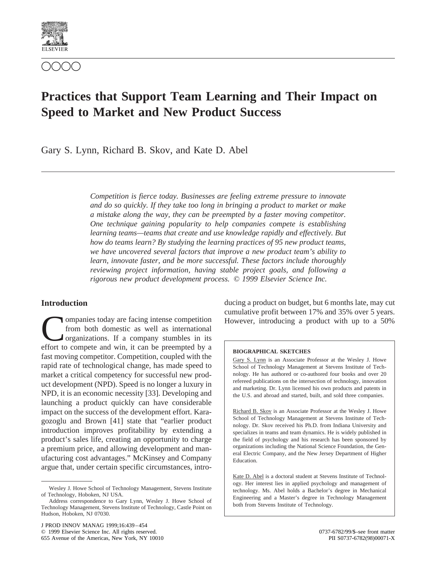

ooo

## **Practices that Support Team Learning and Their Impact on Speed to Market and New Product Success**

Gary S. Lynn, Richard B. Skov, and Kate D. Abel

*Competition is fierce today. Businesses are feeling extreme pressure to innovate and do so quickly. If they take too long in bringing a product to market or make a mistake along the way, they can be preempted by a faster moving competitor. One technique gaining popularity to help companies compete is establishing learning teams—teams that create and use knowledge rapidly and effectively. But how do teams learn? By studying the learning practices of 95 new product teams, we have uncovered several factors that improve a new product team's ability to learn, innovate faster, and be more successful. These factors include thoroughly reviewing project information, having stable project goals, and following a rigorous new product development process. © 1999 Elsevier Science Inc.*

## **Introduction**

**Companies today are facing intense competition**<br>from both domestic as well as international<br>organizations. If a company stumbles in its<br>effort to compete and win, it can be preempted by a from both domestic as well as international organizations. If a company stumbles in its effort to compete and win, it can be preempted by a fast moving competitor. Competition, coupled with the rapid rate of technological change, has made speed to market a critical competency for successful new product development (NPD). Speed is no longer a luxury in NPD, it is an economic necessity [33]. Developing and launching a product quickly can have considerable impact on the success of the development effort. Karagozoglu and Brown [41] state that "earlier product introduction improves profitability by extending a product's sales life, creating an opportunity to charge a premium price, and allowing development and manufacturing cost advantages." McKinsey and Company argue that, under certain specific circumstances, introducing a product on budget, but 6 months late, may cut cumulative profit between 17% and 35% over 5 years. However, introducing a product with up to a 50%

## **BIOGRAPHICAL SKETCHES**

Gary S. Lynn is an Associate Professor at the Wesley J. Howe School of Technology Management at Stevens Institute of Technology. He has authored or co-authored four books and over 20 refereed publications on the intersection of technology, innovation and marketing. Dr. Lynn licensed his own products and patents in the U.S. and abroad and started, built, and sold three companies.

Richard B. Skov is an Associate Professor at the Wesley J. Howe School of Technology Management at Stevens Institute of Technology. Dr. Skov received his Ph.D. from Indiana University and specializes in teams and team dynamics. He is widely published in the field of psychology and his research has been sponsored by organizations including the National Science Foundation, the General Electric Company, and the New Jersey Department of Higher Education.

Kate D. Abel is a doctoral student at Stevens Institute of Technology. Her interest lies in applied psychology and management of technology. Ms. Abel holds a Bachelor's degree in Mechanical Engineering and a Master's degree in Technology Management both from Stevens Institute of Technology.

Wesley J. Howe School of Technology Management, Stevens Institute of Technology, Hoboken, NJ USA.

Address correspondence to Gary Lynn, Wesley J. Howe School of Technology Management, Stevens Institute of Technology, Castle Point on Hudson, Hoboken, NJ 07030.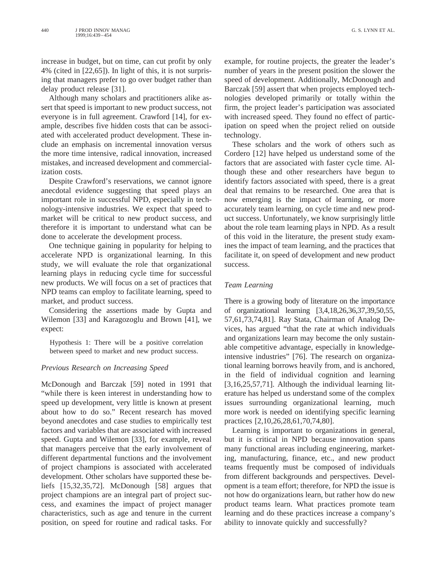increase in budget, but on time, can cut profit by only 4% (cited in [22,65]). In light of this, it is not surprising that managers prefer to go over budget rather than delay product release [31].

Although many scholars and practitioners alike assert that speed is important to new product success, not everyone is in full agreement. Crawford [14], for example, describes five hidden costs that can be associated with accelerated product development. These include an emphasis on incremental innovation versus the more time intensive, radical innovation, increased mistakes, and increased development and commercialization costs.

Despite Crawford's reservations, we cannot ignore anecdotal evidence suggesting that speed plays an important role in successful NPD, especially in technology-intensive industries. We expect that speed to market will be critical to new product success, and therefore it is important to understand what can be done to accelerate the development process.

One technique gaining in popularity for helping to accelerate NPD is organizational learning. In this study, we will evaluate the role that organizational learning plays in reducing cycle time for successful new products. We will focus on a set of practices that NPD teams can employ to facilitate learning, speed to market, and product success.

Considering the assertions made by Gupta and Wilemon [33] and Karagozoglu and Brown [41], we expect:

Hypothesis 1: There will be a positive correlation between speed to market and new product success.

#### *Previous Research on Increasing Speed*

McDonough and Barczak [59] noted in 1991 that "while there is keen interest in understanding how to speed up development, very little is known at present about how to do so." Recent research has moved beyond anecdotes and case studies to empirically test factors and variables that are associated with increased speed. Gupta and Wilemon [33], for example, reveal that managers perceive that the early involvement of different departmental functions and the involvement of project champions is associated with accelerated development. Other scholars have supported these beliefs [15,32,35,72]. McDonough [58] argues that project champions are an integral part of project success, and examines the impact of project manager characteristics, such as age and tenure in the current position, on speed for routine and radical tasks. For

example, for routine projects, the greater the leader's number of years in the present position the slower the speed of development. Additionally, McDonough and Barczak [59] assert that when projects employed technologies developed primarily or totally within the firm, the project leader's participation was associated with increased speed. They found no effect of participation on speed when the project relied on outside technology.

These scholars and the work of others such as Cordero [12] have helped us understand some of the factors that are associated with faster cycle time. Although these and other researchers have begun to identify factors associated with speed, there is a great deal that remains to be researched. One area that is now emerging is the impact of learning, or more accurately team learning, on cycle time and new product success. Unfortunately, we know surprisingly little about the role team learning plays in NPD. As a result of this void in the literature, the present study examines the impact of team learning, and the practices that facilitate it, on speed of development and new product success.

#### *Team Learning*

There is a growing body of literature on the importance of organizational learning [3,4,18,26,36,37,39,50,55, 57,61,73,74,81]. Ray Stata, Chairman of Analog Devices, has argued "that the rate at which individuals and organizations learn may become the only sustainable competitive advantage, especially in knowledgeintensive industries" [76]. The research on organizational learning borrows heavily from, and is anchored, in the field of individual cognition and learning [3,16,25,57,71]. Although the individual learning literature has helped us understand some of the complex issues surrounding organizational learning, much more work is needed on identifying specific learning practices [2,10,26,28,61,70,74,80].

Learning is important to organizations in general, but it is critical in NPD because innovation spans many functional areas including engineering, marketing, manufacturing, finance, etc., and new product teams frequently must be composed of individuals from different backgrounds and perspectives. Development is a team effort; therefore, for NPD the issue is not how do organizations learn, but rather how do new product teams learn. What practices promote team learning and do these practices increase a company's ability to innovate quickly and successfully?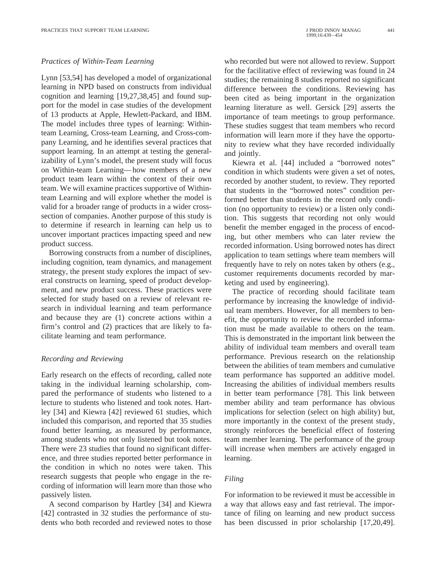#### *Practices of Within-Team Learning*

Lynn [53,54] has developed a model of organizational learning in NPD based on constructs from individual cognition and learning [19,27,38,45] and found support for the model in case studies of the development of 13 products at Apple, Hewlett-Packard, and IBM. The model includes three types of learning: Withinteam Learning, Cross-team Learning, and Cross-company Learning, and he identifies several practices that support learning. In an attempt at testing the generalizability of Lynn's model, the present study will focus on Within-team Learning—how members of a new product team learn within the context of their own team. We will examine practices supportive of Withinteam Learning and will explore whether the model is valid for a broader range of products in a wider crosssection of companies. Another purpose of this study is to determine if research in learning can help us to uncover important practices impacting speed and new product success.

Borrowing constructs from a number of disciplines, including cognition, team dynamics, and management strategy, the present study explores the impact of several constructs on learning, speed of product development, and new product success. These practices were selected for study based on a review of relevant research in individual learning and team performance and because they are (1) concrete actions within a firm's control and (2) practices that are likely to facilitate learning and team performance.

#### *Recording and Reviewing*

Early research on the effects of recording, called note taking in the individual learning scholarship, compared the performance of students who listened to a lecture to students who listened and took notes. Hartley [34] and Kiewra [42] reviewed 61 studies, which included this comparison, and reported that 35 studies found better learning, as measured by performance, among students who not only listened but took notes. There were 23 studies that found no significant difference, and three studies reported better performance in the condition in which no notes were taken. This research suggests that people who engage in the recording of information will learn more than those who passively listen.

A second comparison by Hartley [34] and Kiewra [42] contrasted in 32 studies the performance of students who both recorded and reviewed notes to those

who recorded but were not allowed to review. Support for the facilitative effect of reviewing was found in 24 studies; the remaining 8 studies reported no significant difference between the conditions. Reviewing has been cited as being important in the organization learning literature as well. Gersick [29] asserts the importance of team meetings to group performance. These studies suggest that team members who record information will learn more if they have the opportunity to review what they have recorded individually and jointly.

Kiewra et al. [44] included a "borrowed notes" condition in which students were given a set of notes, recorded by another student, to review. They reported that students in the "borrowed notes" condition performed better than students in the record only condition (no opportunity to review) or a listen only condition. This suggests that recording not only would benefit the member engaged in the process of encoding, but other members who can later review the recorded information. Using borrowed notes has direct application to team settings where team members will frequently have to rely on notes taken by others (e.g., customer requirements documents recorded by marketing and used by engineering).

The practice of recording should facilitate team performance by increasing the knowledge of individual team members. However, for all members to benefit, the opportunity to review the recorded information must be made available to others on the team. This is demonstrated in the important link between the ability of individual team members and overall team performance. Previous research on the relationship between the abilities of team members and cumulative team performance has supported an additive model. Increasing the abilities of individual members results in better team performance [78]. This link between member ability and team performance has obvious implications for selection (select on high ability) but, more importantly in the context of the present study, strongly reinforces the beneficial effect of fostering team member learning. The performance of the group will increase when members are actively engaged in learning.

#### *Filing*

For information to be reviewed it must be accessible in a way that allows easy and fast retrieval. The importance of filing on learning and new product success has been discussed in prior scholarship [17,20,49].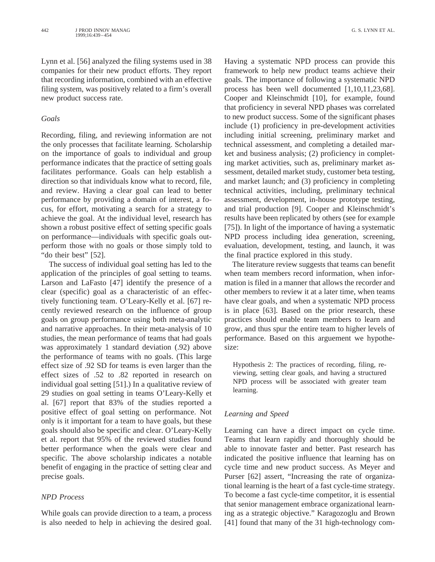Lynn et al. [56] analyzed the filing systems used in 38 companies for their new product efforts. They report that recording information, combined with an effective filing system, was positively related to a firm's overall new product success rate.

## *Goals*

Recording, filing, and reviewing information are not the only processes that facilitate learning. Scholarship on the importance of goals to individual and group performance indicates that the practice of setting goals facilitates performance. Goals can help establish a direction so that individuals know what to record, file, and review. Having a clear goal can lead to better performance by providing a domain of interest, a focus, for effort, motivating a search for a strategy to achieve the goal. At the individual level, research has shown a robust positive effect of setting specific goals on performance—individuals with specific goals outperform those with no goals or those simply told to "do their best" [52].

The success of individual goal setting has led to the application of the principles of goal setting to teams. Larson and LaFasto [47] identify the presence of a clear (specific) goal as a characteristic of an effectively functioning team. O'Leary-Kelly et al. [67] recently reviewed research on the influence of group goals on group performance using both meta-analytic and narrative approaches. In their meta-analysis of 10 studies, the mean performance of teams that had goals was approximately 1 standard deviation (.92) above the performance of teams with no goals. (This large effect size of .92 SD for teams is even larger than the effect sizes of .52 to .82 reported in research on individual goal setting [51].) In a qualitative review of 29 studies on goal setting in teams O'Leary-Kelly et al. [67] report that 83% of the studies reported a positive effect of goal setting on performance. Not only is it important for a team to have goals, but these goals should also be specific and clear. O'Leary-Kelly et al. report that 95% of the reviewed studies found better performance when the goals were clear and specific. The above scholarship indicates a notable benefit of engaging in the practice of setting clear and precise goals.

## *NPD Process*

While goals can provide direction to a team, a process is also needed to help in achieving the desired goal. Having a systematic NPD process can provide this framework to help new product teams achieve their goals. The importance of following a systematic NPD process has been well documented [1,10,11,23,68]. Cooper and Kleinschmidt [10], for example, found that proficiency in several NPD phases was correlated to new product success. Some of the significant phases include (1) proficiency in pre-development activities including initial screening, preliminary market and technical assessment, and completing a detailed market and business analysis; (2) proficiency in completing market activities, such as, preliminary market assessment, detailed market study, customer beta testing, and market launch; and (3) proficiency in completing technical activities, including, preliminary technical assessment, development, in-house prototype testing, and trial production [9]. Cooper and Kleinschmidt's results have been replicated by others (see for example [75]). In light of the importance of having a systematic NPD process including idea generation, screening, evaluation, development, testing, and launch, it was the final practice explored in this study.

The literature review suggests that teams can benefit when team members record information, when information is filed in a manner that allows the recorder and other members to review it at a later time, when teams have clear goals, and when a systematic NPD process is in place [63]. Based on the prior research, these practices should enable team members to learn and grow, and thus spur the entire team to higher levels of performance. Based on this arguement we hypothesize:

Hypothesis 2: The practices of recording, filing, reviewing, setting clear goals, and having a structured NPD process will be associated with greater team learning.

## *Learning and Speed*

Learning can have a direct impact on cycle time. Teams that learn rapidly and thoroughly should be able to innovate faster and better. Past research has indicated the positive influence that learning has on cycle time and new product success. As Meyer and Purser [62] assert, "Increasing the rate of organizational learning is the heart of a fast cycle-time strategy. To become a fast cycle-time competitor, it is essential that senior management embrace organizational learning as a strategic objective." Karagozoglu and Brown [41] found that many of the 31 high-technology com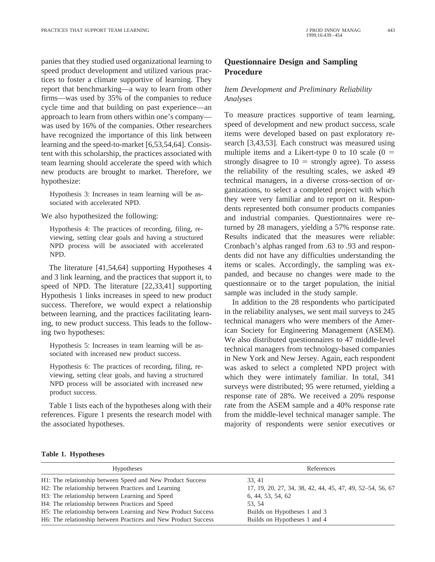panies that they studied used organizational learning to speed product development and utilized various practices to foster a climate supportive of learning. They report that benchmarking—a way to learn from other firms—was used by 35% of the companies to reduce cycle time and that building on past experience—an approach to learn from others within one's company was used by 16% of the companies. Other researchers have recognized the importance of this link between learning and the speed-to-market [6,53,54,64]. Consistent with this scholarship, the practices associated with team learning should accelerate the speed with which new products are brought to market. Therefore, we hypothesize:

Hypothesis 3: Increases in team learning will be associated with accelerated NPD.

We also hypothesized the following:

Hypothesis 4: The practices of recording, filing, reviewing, setting clear goals and having a structured NPD process will be associated with accelerated NPD.

The literature [41,54,64] supporting Hypotheses 4 and 3 link learning, and the practices that support it, to speed of NPD. The literature [22,33,41] supporting Hypothesis 1 links increases in speed to new product success. Therefore, we would expect a relationship between learning, and the practices facilitating learning, to new product success. This leads to the following two hypotheses:

Hypothesis 5: Increases in team learning will be associated with increased new product success.

Hypothesis 6: The practices of recording, filing, reviewing, setting clear goals, and having a structured NPD process will be associated with increased new product success.

Table 1 lists each of the hypotheses along with their references. Figure 1 presents the research model with the associated hypotheses.

## **Questionnaire Design and Sampling Procedure**

## *Item Development and Preliminary Reliability Analyses*

To measure practices supportive of team learning, speed of development and new product success, scale items were developed based on past exploratory research [3,43,53]. Each construct was measured using multiple items and a Likert-type 0 to 10 scale  $(0 =$ strongly disagree to  $10 =$  strongly agree). To assess the reliability of the resulting scales, we asked 49 technical managers, in a diverse cross-section of organizations, to select a completed project with which they were very familiar and to report on it. Respondents represented both consumer products companies and industrial companies. Questionnaires were returned by 28 managers, yielding a 57% response rate. Results indicated that the measures were reliable: Cronbach's alphas ranged from .63 to .93 and respondents did not have any difficulties understanding the items or scales. Accordingly, the sampling was expanded, and because no changes were made to the questionnaire or to the target population, the initial sample was included in the study sample.

In addition to the 28 respondents who participated in the reliability analyses, we sent mail surveys to 245 technical managers who were members of the American Society for Engineering Management (ASEM). We also distributed questionnaires to 47 middle-level technical managers from technology-based companies in New York and New Jersey. Again, each respondent was asked to select a completed NPD project with which they were intimately familiar. In total, 341 surveys were distributed; 95 were returned, yielding a response rate of 28%. We received a 20% response rate from the ASEM sample and a 40% response rate from the middle-level technical manager sample. The majority of respondents were senior executives or

|  |  | Table 1. Hypotheses |
|--|--|---------------------|
|--|--|---------------------|

| <b>Hypotheses</b>                                              | References                                                |
|----------------------------------------------------------------|-----------------------------------------------------------|
| H1: The relationship between Speed and New Product Success     | 33.41                                                     |
| H2: The relationship between Practices and Learning            | 17, 19, 20, 27, 34, 38, 42, 44, 45, 47, 49, 52–54, 56, 67 |
| H3: The relationship between Learning and Speed                | 6, 44, 53, 54, 62                                         |
| H4: The relationship between Practices and Speed               | 53.54                                                     |
| H5: The relationship between Learning and New Product Success  | Builds on Hypotheses 1 and 3                              |
| H6: The relationship between Practices and New Product Success | Builds on Hypotheses 1 and 4                              |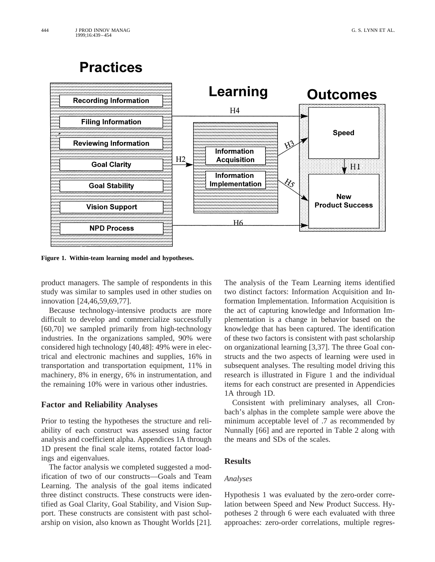# **Practices**



**Figure 1. Within-team learning model and hypotheses.**

product managers. The sample of respondents in this study was similar to samples used in other studies on innovation [24,46,59,69,77].

Because technology-intensive products are more difficult to develop and commercialize successfully [60,70] we sampled primarily from high-technology industries. In the organizations sampled, 90% were considered high technology [40,48]: 49% were in electrical and electronic machines and supplies, 16% in transportation and transportation equipment, 11% in machinery, 8% in energy, 6% in instrumentation, and the remaining 10% were in various other industries.

## **Factor and Reliability Analyses**

Prior to testing the hypotheses the structure and reliability of each construct was assessed using factor analysis and coefficient alpha. Appendices 1A through 1D present the final scale items, rotated factor loadings and eigenvalues.

The factor analysis we completed suggested a modification of two of our constructs—Goals and Team Learning. The analysis of the goal items indicated three distinct constructs. These constructs were identified as Goal Clarity, Goal Stability, and Vision Support. These constructs are consistent with past scholarship on vision, also known as Thought Worlds [21]. The analysis of the Team Learning items identified two distinct factors: Information Acquisition and Information Implementation. Information Acquisition is the act of capturing knowledge and Information Implementation is a change in behavior based on the knowledge that has been captured. The identification of these two factors is consistent with past scholarship on organizational learning [3,37]. The three Goal constructs and the two aspects of learning were used in subsequent analyses. The resulting model driving this research is illustrated in Figure 1 and the individual items for each construct are presented in Appendicies 1A through 1D.

Consistent with preliminary analyses, all Cronbach's alphas in the complete sample were above the minimum acceptable level of .7 as recommended by Nunnally [66] and are reported in Table 2 along with the means and SDs of the scales.

## **Results**

## *Analyses*

Hypothesis 1 was evaluated by the zero-order correlation between Speed and New Product Success. Hypotheses 2 through 6 were each evaluated with three approaches: zero-order correlations, multiple regres-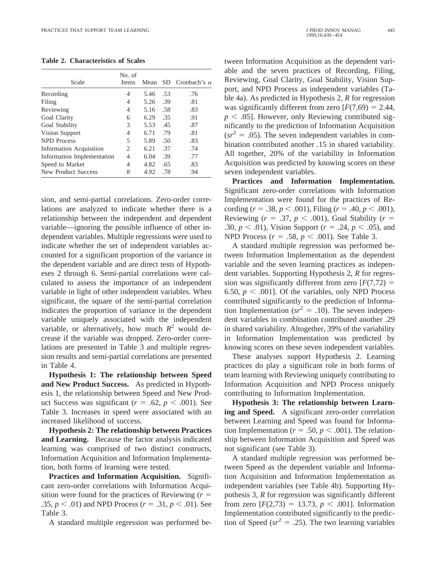**Table 2. Characteristics of Scales**

| Scale                          | No. of<br><b>Items</b> | Mean |     | SD Cronbach's $\alpha$ |
|--------------------------------|------------------------|------|-----|------------------------|
| Recording                      | 4                      | 5.46 | .53 | .76                    |
| Filing                         | 4                      | 5.26 | .39 | .81                    |
| Reviewing                      | 4                      | 5.16 | .58 | .83                    |
| Goal Clarity                   | 6                      | 6.29 | .35 | .91                    |
| Goal Stability                 | 3                      | 5.53 | .45 | .87                    |
| Vision Support                 | 4                      | 6.71 | .79 | .81                    |
| <b>NPD</b> Process             | 5                      | 5.89 | .50 | .83                    |
| <b>Information Acquisition</b> | 2                      | 6.21 | .37 | .74                    |
| Information Implementation     | 4                      | 6.04 | .39 | .77                    |
| Speed to Market                | 4                      | 4.82 | .65 | .83                    |
| <b>New Product Success</b>     | 8                      | 4.92 | .78 | .94                    |

sion, and semi-partial correlations. Zero-order correlations are analyzed to indicate whether there is a relationship between the independent and dependent variable—ignoring the possible influence of other independent variables. Multiple regressions were used to indicate whether the set of independent variables accounted for a significant proportion of the variance in the dependent variable and are direct tests of Hypotheses 2 through 6. Semi-partial correlations were calculated to assess the importance of an independent variable in light of other independent variables. When significant, the square of the semi-partial correlation indicates the proportion of variance in the dependent variable uniquely associated with the independent variable, or alternatively, how much  $R^2$  would decrease if the variable was dropped. Zero-order correlations are presented in Table 3 and multiple regression results and semi-partial correlations are presented in Table 4.

**Hypothesis 1: The relationship between Speed and New Product Success.** As predicted in Hypothesis 1, the relationship between Speed and New Product Success was significant ( $r = .62$ ,  $p < .001$ ). See Table 3. Increases in speed were associated with an increased likelihood of success.

**Hypothesis 2: The relationship between Practices and Learning.** Because the factor analysis indicated learning was comprised of two distinct constructs, Information Acquisition and Information Implementation, both forms of learning were tested.

**Practices and Information Acquisition.** Significant zero-order correlations with Information Acquisition were found for the practices of Reviewing  $(r =$ .35,  $p < .01$ ) and NPD Process ( $r = .31, p < .01$ ). See Table 3.

A standard multiple regression was performed be-

tween Information Acquisition as the dependent variable and the seven practices of Recording, Filing, Reviewing, Goal Clarity, Goal Stability, Vision Support, and NPD Process as independent variables (Table 4a). As predicted in Hypothesis 2, *R* for regression was significantly different from zero  $[F(7,69) = 2.44]$ ,  $p < .05$ ]. However, only Reviewing contributed significantly to the prediction of Information Acquisition  $(sr^2 = .05)$ . The seven independent variables in combination contributed another .15 in shared variability. All together, 20% of the variability in Information Acquisition was predicted by knowing scores on these seven independent variables.

**Practices and Information Implementation.** Significant zero-order correlations with Information Implementation were found for the practices of Recording ( $r = .38$ ,  $p < .001$ ), Filing ( $r = .40$ ,  $p < .001$ ), Reviewing  $(r = .37, p < .001)$ , Goal Stability  $(r = .001)$ .30,  $p < .01$ ), Vision Support ( $r = .24$ ,  $p < .05$ ), and NPD Process ( $r = .58$ ,  $p < .001$ ). See Table 3.

A standard multiple regression was performed between Information Implementation as the dependent variable and the seven learning practices as independent variables. Supporting Hypothesis 2, *R* for regression was significantly different from zero  $[F(7,72) =$ 6.50,  $p < .001$ ]. Of the variables, only NPD Process contributed significantly to the prediction of Information Implementation ( $sr^2 = .10$ ). The seven independent variables in combination contributed another .29 in shared variability. Altogether, 39% of the variability in Information Implementation was predicted by knowing scores on these seven independent variables.

These analyses support Hypothesis 2. Learning practices do play a significant role in both forms of team learning with Reviewing uniquely contributing to Information Acquisition and NPD Process uniquely contributing to Information Implementation.

**Hypothesis 3: The relationship between Learning and Speed.** A significant zero-order correlation between Learning and Speed was found for Information Implementation ( $r = .50$ ,  $p < .001$ ). The relationship between Information Acquisition and Speed was not significant (see Table 3).

A standard multiple regression was performed between Speed as the dependent variable and Information Acquisition and Information Implementation as independent variables (see Table 4b). Supporting Hypothesis 3, *R* for regression was significantly different from zero  $[F(2,73) = 13.73, p < .001]$ . Information Implementation contributed significantly to the prediction of Speed ( $sr^2 = .25$ ). The two learning variables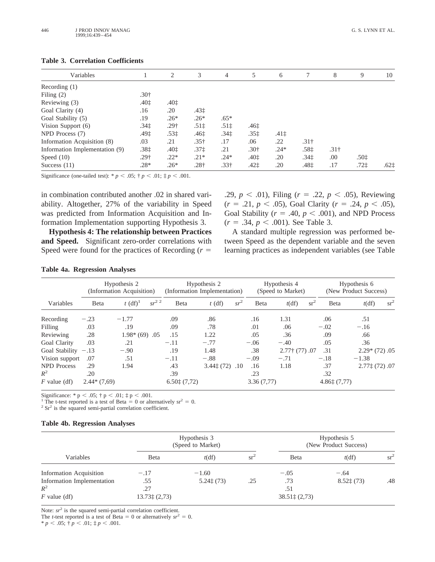| Variables                      |                  | 2                | 3                | 4      | 5                | 6      | 7                | 8                | 9                | 10            |
|--------------------------------|------------------|------------------|------------------|--------|------------------|--------|------------------|------------------|------------------|---------------|
| Recording $(1)$                |                  |                  |                  |        |                  |        |                  |                  |                  |               |
| Filing $(2)$                   | $.30+$           |                  |                  |        |                  |        |                  |                  |                  |               |
| Reviewing (3)                  | .40 <sub>1</sub> | $.40\ddagger$    |                  |        |                  |        |                  |                  |                  |               |
| Goal Clarity (4)               | .16              | .20              | $.43\ddagger$    |        |                  |        |                  |                  |                  |               |
| Goal Stability (5)             | .19              | $.26*$           | $.26*$           | $.65*$ |                  |        |                  |                  |                  |               |
| Vision Support (6)             | .34 <sub>1</sub> | .29 <sub>†</sub> | .511             | .511   | .461             |        |                  |                  |                  |               |
| NPD Process (7)                | .49‡             | .531             | .461             | .34İ   | .351             | .411   |                  |                  |                  |               |
| Information Acquisition (8)    | .03              | .21              | $.35\dagger$     | .17    | .06              | .22    | .31 <sup>†</sup> |                  |                  |               |
| Information Implementation (9) | .38 <sup>†</sup> | .401             | .37 <sub>1</sub> | .21    | $.30+$           | $.24*$ | .581             | .31 <sup>†</sup> |                  |               |
| Speed $(10)$                   | .29†             | $.22*$           | $.21*$           | $.24*$ | .401             | .20    | .34 <sub>1</sub> | .00              | .50 <sub>1</sub> |               |
| Success $(11)$                 | $.28*$           | $.26*$           | .28 <sub>†</sub> | .33†   | .42 <sub>1</sub> | .20    | .48‡             | .17              | .72 <sub>1</sub> | $.62\ddagger$ |
|                                |                  |                  |                  |        |                  |        |                  |                  |                  |               |

|  | <b>Table 3. Correlation Coefficients</b> |  |
|--|------------------------------------------|--|
|--|------------------------------------------|--|

Significance (one-tailed test): \* *p* < .05;  $\dagger$  *p* < .01;  $\dagger$  *p* < .001.

in combination contributed another .02 in shared variability. Altogether, 27% of the variability in Speed was predicted from Information Acquisition and Information Implementation supporting Hypothesis 3.

**Hypothesis 4: The relationship between Practices and Speed.** Significant zero-order correlations with Speed were found for the practices of Recording  $(r =$ 

.29,  $p < .01$ ), Filing ( $r = .22$ ,  $p < .05$ ), Reviewing  $(r = .21, p < .05)$ , Goal Clarity  $(r = .24, p < .05)$ , Goal Stability ( $r = .40$ ,  $p < .001$ ), and NPD Process  $(r = .34, p < .001)$ . See Table 3.

A standard multiple regression was performed between Speed as the dependent variable and the seven learning practices as independent variables (see Table

|                       | Hypothesis 2<br>(Information Acquisition) |                       | Hypothesis 2<br>(Information Implementation) |            | Hypothesis 4<br>(Speed to Market) |        |            | Hypothesis 6<br>(New Product Success) |        |                        |         |                          |
|-----------------------|-------------------------------------------|-----------------------|----------------------------------------------|------------|-----------------------------------|--------|------------|---------------------------------------|--------|------------------------|---------|--------------------------|
| Variables             | Beta                                      | $t$ (df) <sup>1</sup> | $sr^2$ <sup>2</sup>                          | Beta       | $t$ (df)                          | $sr^2$ | Beta       | t(df)                                 | $sr^2$ | Beta                   | t(df)   | $sr^2$                   |
| Recording             | $-.23$                                    | $-1.77$               |                                              | .09        | .86                               |        | .16        | 1.31                                  |        | .06                    | .51     |                          |
| Filling               | .03                                       | .19                   |                                              | .09        | .78                               |        | .01        | .06                                   |        | $-.02$                 | $-.16$  |                          |
| Reviewing             | .28                                       | $1.98*(69)$ .05       |                                              | .15        | 1.22                              |        | .05        | .36                                   |        | .09                    | .66     |                          |
| Goal Clarity          | .03                                       | .21                   |                                              | $-.11$     | $-.77$                            |        | $-.06$     | $-.40$                                |        | .05                    | .36     |                          |
| Goal Stability $-.13$ |                                           | $-.90$                |                                              | .19        | 1.48                              |        | .38        | $2.77\uparrow$ (77) .07               |        | .31                    |         | $2.29*(72) .05$          |
| Vision support        | .07                                       | .51                   |                                              | $-.11$     | $-.88$                            |        | $-.09$     | $-.71$                                |        | $-.18$                 | $-1.38$ |                          |
| <b>NPD</b> Process    | .29                                       | 1.94                  |                                              | .43        | $3.44 \pm (72)$ .10               |        | .16        | 1.18                                  |        | .37                    |         | $2.77 \ddagger (72) .07$ |
| $R^2$                 | .20                                       |                       |                                              | .39        |                                   |        | .23        |                                       |        | .32                    |         |                          |
| $F$ value (df)        | $2.44*(7,69)$                             |                       |                                              | 6.50(7,72) |                                   |        | 3.36(7,77) |                                       |        | $4.86 \ddagger (7,77)$ |         |                          |

### **Table 4a. Regression Analyses**

Significance: \* p < .05; † p < .01; ‡ p < .001.<br>
<sup>1</sup> The t-test reported is a test of Beta = 0 or alternatively sr<sup>2</sup> = 0.<br>
<sup>2</sup> Sr<sup>2</sup> is the squared semi-partial correlation coefficient.

#### **Table 4b. Regression Analyses**

|                            |                         | Hypothesis 3<br>(Speed to Market) | Hypothesis 5<br>(New Product Success) |                    |                                  |        |
|----------------------------|-------------------------|-----------------------------------|---------------------------------------|--------------------|----------------------------------|--------|
| Variables                  | Beta                    | t(df)                             | $sr^2$                                | <b>B</b> eta       | t(df)                            | $sr^2$ |
| Information Acquisition    | $-.17$                  | $-1.60$                           |                                       | $-.05$             | $-.64$                           |        |
| Information Implementation | .55                     | $5.24 \ddagger (73)$              | .25                                   | .73                | $8.52 \text{ } \frac{1}{2} (73)$ | .48    |
| $R^2$                      | .27                     |                                   |                                       | .51                |                                  |        |
| $F$ value (df)             | $13.73 \ddagger (2.73)$ |                                   |                                       | $38.51 \pm (2.73)$ |                                  |        |

Note:  $sr^2$  is the squared semi-partial correlation coefficient.

The *t*-test reported is a test of Beta = 0 or alternatively  $sr^2 = 0$ .

 $* p < .05; \dagger p < .01; \dagger p < .001.$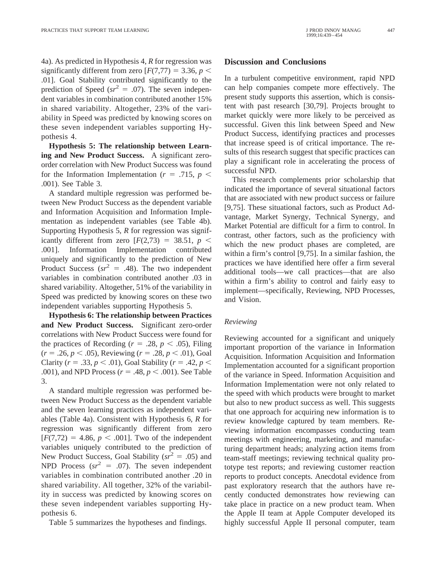4a). As predicted in Hypothesis 4, *R* for regression was significantly different from zero  $[F(7,77) = 3.36, p <$ .01]. Goal Stability contributed significantly to the prediction of Speed ( $sr^2 = .07$ ). The seven independent variables in combination contributed another 15% in shared variability. Altogether, 23% of the variability in Speed was predicted by knowing scores on these seven independent variables supporting Hypothesis 4.

**Hypothesis 5: The relationship between Learning and New Product Success.** A significant zeroorder correlation with New Product Success was found for the Information Implementation ( $r = .715$ ,  $p <$ .001). See Table 3.

A standard multiple regression was performed between New Product Success as the dependent variable and Information Acquisition and Information Implementation as independent variables (see Table 4b). Supporting Hypothesis 5, *R* for regression was significantly different from zero  $[F(2,73) = 38.51, p <$ .001]. Information Implementation contributed uniquely and significantly to the prediction of New Product Success ( $sr^2 = .48$ ). The two independent variables in combination contributed another .03 in shared variability. Altogether, 51% of the variability in Speed was predicted by knowing scores on these two independent variables supporting Hypothesis 5.

**Hypothesis 6: The relationship between Practices and New Product Success.** Significant zero-order correlations with New Product Success were found for the practices of Recording ( $r = .28$ ,  $p < .05$ ), Filing  $(r = .26, p < .05)$ , Reviewing  $(r = .28, p < .01)$ , Goal Clarity ( $r = .33, p < .01$ ), Goal Stability ( $r = .42, p <$ .001), and NPD Process ( $r = .48$ ,  $p < .001$ ). See Table 3.

A standard multiple regression was performed between New Product Success as the dependent variable and the seven learning practices as independent variables (Table 4a). Consistent with Hypothesis 6, *R* for regression was significantly different from zero  $[F(7,72) = 4.86, p < .001]$ . Two of the independent variables uniquely contributed to the prediction of New Product Success, Goal Stability  $(sr^2 = .05)$  and NPD Process  $(sr^2 = .07)$ . The seven independent variables in combination contributed another .20 in shared variability. All together, 32% of the variability in success was predicted by knowing scores on these seven independent variables supporting Hypothesis 6.

Table 5 summarizes the hypotheses and findings.

#### **Discussion and Conclusions**

In a turbulent competitive environment, rapid NPD can help companies compete more effectively. The present study supports this assertion, which is consistent with past research [30,79]. Projects brought to market quickly were more likely to be perceived as successful. Given this link between Speed and New Product Success, identifying practices and processes that increase speed is of critical importance. The results of this research suggest that specific practices can play a significant role in accelerating the process of successful NPD.

This research complements prior scholarship that indicated the importance of several situational factors that are associated with new product success or failure [9,75]. These situational factors, such as Product Advantage, Market Synergy, Technical Synergy, and Market Potential are difficult for a firm to control. In contrast, other factors, such as the proficiency with which the new product phases are completed, are within a firm's control [9,75]. In a similar fashion, the practices we have identified here offer a firm several additional tools—we call practices—that are also within a firm's ability to control and fairly easy to implement—specifically, Reviewing, NPD Processes, and Vision.

#### *Reviewing*

Reviewing accounted for a significant and uniquely important proportion of the variance in Information Acquisition. Information Acquisition and Information Implementation accounted for a significant proportion of the variance in Speed. Information Acquisition and Information Implementation were not only related to the speed with which products were brought to market but also to new product success as well. This suggests that one approach for acquiring new information is to review knowledge captured by team members. Reviewing information encompasses conducting team meetings with engineering, marketing, and manufacturing department heads; analyzing action items from team-staff meetings; reviewing technical quality prototype test reports; and reviewing customer reaction reports to product concepts. Anecdotal evidence from past exploratory research that the authors have recently conducted demonstrates how reviewing can take place in practice on a new product team. When the Apple II team at Apple Computer developed its highly successful Apple II personal computer, team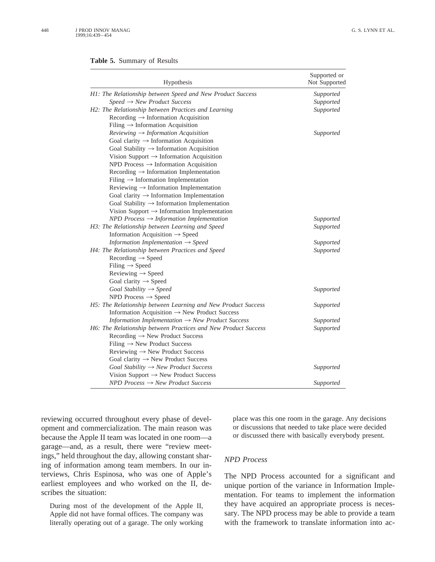#### **Table 5.** Summary of Results

| Hypothesis                                                     | Supported or<br>Not Supported |
|----------------------------------------------------------------|-------------------------------|
| H1: The Relationship between Speed and New Product Success     | Supported                     |
| $Speed \rightarrow New Product Success$                        | Supported                     |
| H2: The Relationship between Practices and Learning            | Supported                     |
| $\text{Recording} \rightarrow \text{Information Acquisition}$  |                               |
| Filing $\rightarrow$ Information Acquisition                   |                               |
| $Reviewing \rightarrow Information \; Acquisition$             | Supported                     |
| Goal clarity $\rightarrow$ Information Acquisition             |                               |
| Goal Stability $\rightarrow$ Information Acquisition           |                               |
| Vision Support $\rightarrow$ Information Acquisition           |                               |
| NPD Process $\rightarrow$ Information Acquisition              |                               |
| $Recording \rightarrow Information Implementation$             |                               |
| Filing $\rightarrow$ Information Implementation                |                               |
| Reviewing $\rightarrow$ Information Implementation             |                               |
| Goal clarity $\rightarrow$ Information Implementation          |                               |
| Goal Stability $\rightarrow$ Information Implementation        |                               |
| Vision Support $\rightarrow$ Information Implementation        |                               |
| $NPD$ Process $\rightarrow$ Information Implementation         | Supported                     |
| H3: The Relationship between Learning and Speed                | Supported                     |
| Information Acquisition $\rightarrow$ Speed                    |                               |
| Information Implementation $\rightarrow$ Speed                 | Supported                     |
| H4: The Relationship between Practices and Speed               | Supported                     |
| $\mathrm{Recording} \rightarrow \mathrm{Speed}$                |                               |
| Filing $\rightarrow$ Speed                                     |                               |
| Reviewing $\rightarrow$ Speed                                  |                               |
| Goal clarity $\rightarrow$ Speed                               |                               |
| Goal Stability $\rightarrow$ Speed                             | Supported                     |
| NPD Process $\rightarrow$ Speed                                |                               |
| H5: The Relationship between Learning and New Product Success  | Supported                     |
| Information Acquisition $\rightarrow$ New Product Success      |                               |
| Information Implementation $\rightarrow$ New Product Success   | Supported                     |
| H6: The Relationship between Practices and New Product Success | Supported                     |
| $\text{Recording} \rightarrow \text{New Product Success}$      |                               |
| Filing $\rightarrow$ New Product Success                       |                               |
| Reviewing $\rightarrow$ New Product Success                    |                               |
| Goal clarity $\rightarrow$ New Product Success                 |                               |
| Goal Stability $\rightarrow$ New Product Success               | Supported                     |
| Vision Support $\rightarrow$ New Product Success               |                               |
| $NPD$ Process $\rightarrow$ New Product Success                | Supported                     |

reviewing occurred throughout every phase of development and commercialization. The main reason was because the Apple II team was located in one room—a garage—and, as a result, there were "review meetings," held throughout the day, allowing constant sharing of information among team members. In our interviews, Chris Espinosa, who was one of Apple's earliest employees and who worked on the II, describes the situation:

During most of the development of the Apple II, Apple did not have formal offices. The company was literally operating out of a garage. The only working place was this one room in the garage. Any decisions or discussions that needed to take place were decided or discussed there with basically everybody present.

## *NPD Process*

The NPD Process accounted for a significant and unique portion of the variance in Information Implementation. For teams to implement the information they have acquired an appropriate process is necessary. The NPD process may be able to provide a team with the framework to translate information into ac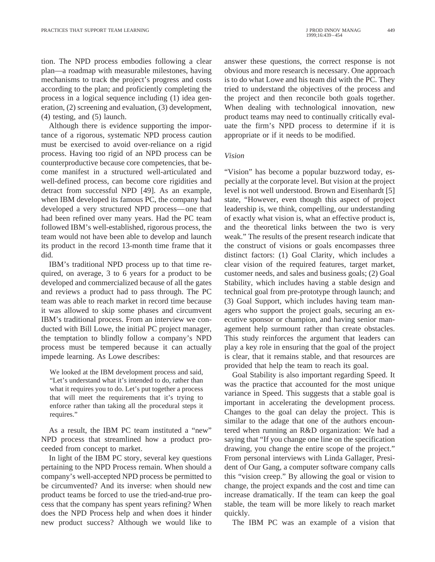tion. The NPD process embodies following a clear plan—a roadmap with measurable milestones, having mechanisms to track the project's progress and costs according to the plan; and proficiently completing the process in a logical sequence including (1) idea generation, (2) screening and evaluation, (3) development, (4) testing, and (5) launch.

Although there is evidence supporting the importance of a rigorous, systematic NPD process caution must be exercised to avoid over-reliance on a rigid process. Having too rigid of an NPD process can be counterproductive because core competencies, that become manifest in a structured well-articulated and well-defined process, can become core rigidities and detract from successful NPD [49]. As an example, when IBM developed its famous PC, the company had developed a very structured NPD process—one that had been refined over many years. Had the PC team followed IBM's well-established, rigorous process, the team would not have been able to develop and launch its product in the record 13-month time frame that it did.

IBM's traditional NPD process up to that time required, on average, 3 to 6 years for a product to be developed and commercialized because of all the gates and reviews a product had to pass through. The PC team was able to reach market in record time because it was allowed to skip some phases and circumvent IBM's traditional process. From an interview we conducted with Bill Lowe, the initial PC project manager, the temptation to blindly follow a company's NPD process must be tempered because it can actually impede learning. As Lowe describes:

We looked at the IBM development process and said, "Let's understand what it's intended to do, rather than what it requires you to do. Let's put together a process that will meet the requirements that it's trying to enforce rather than taking all the procedural steps it requires."

As a result, the IBM PC team instituted a "new" NPD process that streamlined how a product proceeded from concept to market.

In light of the IBM PC story, several key questions pertaining to the NPD Process remain. When should a company's well-accepted NPD process be permitted to be circumvented? And its inverse: when should new product teams be forced to use the tried-and-true process that the company has spent years refining? When does the NPD Process help and when does it hinder new product success? Although we would like to answer these questions, the correct response is not obvious and more research is necessary. One approach is to do what Lowe and his team did with the PC. They tried to understand the objectives of the process and the project and then reconcile both goals together. When dealing with technological innovation, new product teams may need to continually critically evaluate the firm's NPD process to determine if it is appropriate or if it needs to be modified.

### *Vision*

"Vision" has become a popular buzzword today, especially at the corporate level. But vision at the project level is not well understood. Brown and Eisenhardt [5] state, "However, even though this aspect of project leadership is, we think, compelling, our understanding of exactly what vision is, what an effective product is, and the theoretical links between the two is very weak." The results of the present research indicate that the construct of visions or goals encompasses three distinct factors: (1) Goal Clarity, which includes a clear vision of the required features, target market, customer needs, and sales and business goals; (2) Goal Stability, which includes having a stable design and technical goal from pre-prototype through launch; and (3) Goal Support, which includes having team managers who support the project goals, securing an executive sponsor or champion, and having senior management help surmount rather than create obstacles. This study reinforces the argument that leaders can play a key role in ensuring that the goal of the project is clear, that it remains stable, and that resources are provided that help the team to reach its goal.

Goal Stability is also important regarding Speed. It was the practice that accounted for the most unique variance in Speed. This suggests that a stable goal is important in accelerating the development process. Changes to the goal can delay the project. This is similar to the adage that one of the authors encountered when running an R&D organization: We had a saying that "If you change one line on the specification drawing, you change the entire scope of the project." From personal interviews with Linda Gallager, President of Our Gang, a computer software company calls this "vision creep." By allowing the goal or vision to change, the project expands and the cost and time can increase dramatically. If the team can keep the goal stable, the team will be more likely to reach market quickly.

The IBM PC was an example of a vision that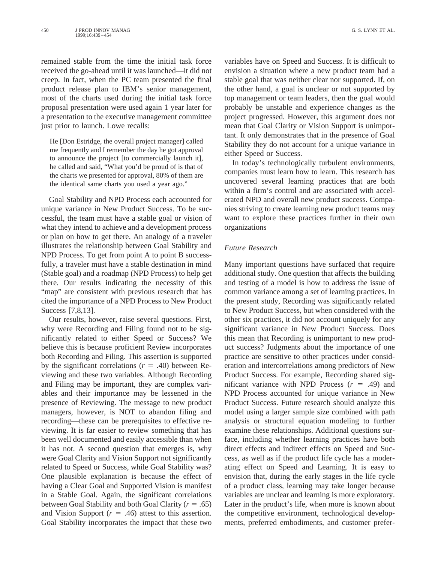remained stable from the time the initial task force received the go-ahead until it was launched—it did not creep. In fact, when the PC team presented the final product release plan to IBM's senior management, most of the charts used during the initial task force proposal presentation were used again 1 year later for a presentation to the executive management committee just prior to launch. Lowe recalls:

He [Don Estridge, the overall project manager] called me frequently and I remember the day he got approval to announce the project [to commercially launch it], he called and said, "What you'd be proud of is that of the charts we presented for approval, 80% of them are the identical same charts you used a year ago."

Goal Stability and NPD Process each accounted for unique variance in New Product Success. To be successful, the team must have a stable goal or vision of what they intend to achieve and a development process or plan on how to get there. An analogy of a traveler illustrates the relationship between Goal Stability and NPD Process. To get from point A to point B successfully, a traveler must have a stable destination in mind (Stable goal) and a roadmap (NPD Process) to help get there. Our results indicating the necessity of this "map" are consistent with previous research that has cited the importance of a NPD Process to New Product Success [7,8,13].

Our results, however, raise several questions. First, why were Recording and Filing found not to be significantly related to either Speed or Success? We believe this is because proficient Review incorporates both Recording and Filing. This assertion is supported by the significant correlations  $(r = .40)$  between Reviewing and these two variables. Although Recording and Filing may be important, they are complex variables and their importance may be lessened in the presence of Reviewing. The message to new product managers, however, is NOT to abandon filing and recording—these can be prerequisites to effective reviewing. It is far easier to review something that has been well documented and easily accessible than when it has not. A second question that emerges is, why were Goal Clarity and Vision Support not significantly related to Speed or Success, while Goal Stability was? One plausible explanation is because the effect of having a Clear Goal and Supported Vision is manifest in a Stable Goal. Again, the significant correlations between Goal Stability and both Goal Clarity  $(r = .65)$ and Vision Support ( $r = .46$ ) attest to this assertion. Goal Stability incorporates the impact that these two variables have on Speed and Success. It is difficult to envision a situation where a new product team had a stable goal that was neither clear nor supported. If, on the other hand, a goal is unclear or not supported by top management or team leaders, then the goal would probably be unstable and experience changes as the project progressed. However, this argument does not mean that Goal Clarity or Vision Support is unimportant. It only demonstrates that in the presence of Goal Stability they do not account for a unique variance in either Speed or Success.

In today's technologically turbulent environments, companies must learn how to learn. This research has uncovered several learning practices that are both within a firm's control and are associated with accelerated NPD and overall new product success. Companies striving to create learning new product teams may want to explore these practices further in their own organizations

#### *Future Research*

Many important questions have surfaced that require additional study. One question that affects the building and testing of a model is how to address the issue of common variance among a set of learning practices. In the present study, Recording was significantly related to New Product Success, but when considered with the other six practices, it did not account uniquely for any significant variance in New Product Success. Does this mean that Recording is unimportant to new product success? Judgments about the importance of one practice are sensitive to other practices under consideration and intercorrelations among predictors of New Product Success. For example, Recording shared significant variance with NPD Process  $(r = .49)$  and NPD Process accounted for unique variance in New Product Success. Future research should analyze this model using a larger sample size combined with path analysis or structural equation modeling to further examine these relationships. Additional questions surface, including whether learning practices have both direct effects and indirect effects on Speed and Success, as well as if the product life cycle has a moderating effect on Speed and Learning. It is easy to envision that, during the early stages in the life cycle of a product class, learning may take longer because variables are unclear and learning is more exploratory. Later in the product's life, when more is known about the competitive environment, technological developments, preferred embodiments, and customer prefer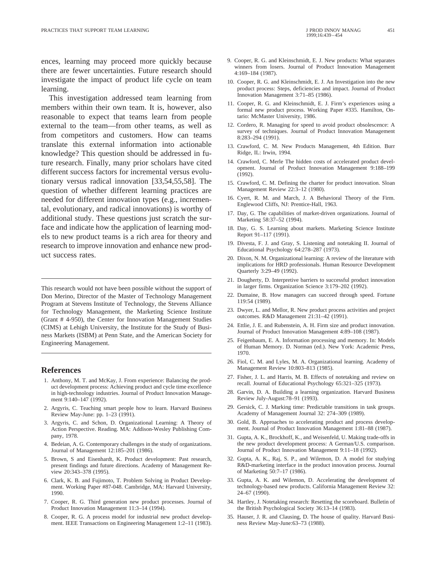ences, learning may proceed more quickly because there are fewer uncertainties. Future research should investigate the impact of product life cycle on team learning.

This investigation addressed team learning from members within their own team. It is, however, also reasonable to expect that teams learn from people external to the team—from other teams, as well as from competitors and customers. How can teams translate this external information into actionable knowledge? This question should be addressed in future research. Finally, many prior scholars have cited different success factors for incremental versus evolutionary versus radical innovation [33,54,55,58]. The question of whether different learning practices are needed for different innovation types (e.g., incremental, evolutionary, and radical innovations) is worthy of additional study. These questions just scratch the surface and indicate how the application of learning models to new product teams is a rich area for theory and research to improve innovation and enhance new product success rates.

This research would not have been possible without the support of Don Merino, Director of the Master of Technology Management Program at Stevens Institute of Technology, the Stevens Alliance for Technology Management, the Marketing Science Institute (Grant # 4-950), the Center for Innovation Management Studies (CIMS) at Lehigh University, the Institute for the Study of Business Markets (ISBM) at Penn State, and the American Society for Engineering Management.

#### **References**

- 1. Anthony, M. T. and McKay, J. From experience: Balancing the product development process: Achieving product and cycle time excellence in high-technology industries. Journal of Product Innovation Management 9:140–147 (1992).
- 2. Argyris, C. Teaching smart people how to learn. Harvard Business Review May-June: pp. 1–23 (1991).
- 3. Argyris, C. and Schon, D. Organizational Learning: A Theory of Action Perspective. Reading. MA: Addison-Wesley Publishing Company, 1978.
- 4. Bedeian, A. G. Contemporary challenges in the study of organizations. Journal of Management 12:185–201 (1986).
- 5. Brown, S and Eisenhardt, K. Product development: Past research, present findings and future directions. Academy of Management Review 20:343–378 (1995).
- 6. Clark, K. B. and Fujimoto, T. Problem Solving in Product Development. Working Paper #87-048. Cambridge, MA: Harvard University, 1990.
- 7. Cooper, R. G. Third generation new product processes. Journal of Product Innovation Management 11:3–14 (1994).
- 8. Cooper, R. G. A process model for industrial new product development. IEEE Transactions on Engineering Management 1:2–11 (1983).
- 9. Cooper, R. G. and Kleinschmidt, E. J. New products: What separates winners from losers. Journal of Product Innovation Management 4:169–184 (1987).
- 10. Cooper, R. G. and Kleinschmidt, E. J. An Investigation into the new product process: Steps, deficiencies and impact. Journal of Product Innovation Management 3:71–85 (1986).
- 11. Cooper, R. G. and Kleinschmidt, E. J. Firm's experiences using a formal new product process. Working Paper #335. Hamilton, Ontario: McMaster University, 1986.
- 12. Cordero, R. Managing for speed to avoid product obsolescence: A survey of techniques. Journal of Product Innovation Management 8:283–294 (1991).
- 13. Crawford, C. M. New Products Management, 4th Edition. Burr Ridge, IL: Irwin, 1994.
- 14. Crawford, C. Merle The hidden costs of accelerated product development. Journal of Product Innovation Management 9:188–199 (1992).
- 15. Crawford, C. M. Defining the charter for product innovation. Sloan Management Review 22:3–12 (1980).
- 16. Cyert, R. M. and March, J. A Behavioral Theory of the Firm. Englewood Cliffs, NJ: Prentice-Hall, 1963.
- 17. Day, G. The capabilities of market-driven organizations. Journal of Marketing 58:37–52 (1994).
- 18. Day, G. S. Learning about markets. Marketing Science Institute Report 91–117 (1991).
- 19. Divesta, F. J. and Gray, S. Listening and notetaking II. Journal of Educational Psychology 64:278–287 (1973).
- 20. Dixon, N. M. Organizational learning: A review of the literature with implications for HRD professionals. Human Resource Development Quarterly 3:29–49 (1992).
- 21. Dougherty, D. Interpretive barriers to successful product innovation in larger firms. Organization Science 3:179–202 (1992).
- 22. Dumaine, B. How managers can succeed through speed. Fortune 119:54 (1989).
- 23. Dwyer, L. and Mellor, R. New product process activities and project outcomes. R&D Management 21:31–42 (1991).
- 24. Ettlie, J. E. and Rubenstein, A. H. Firm size and product innovation. Journal of Product Innovation Management 4:89–108 (1987).
- 25. Feigenbaum, E. A. Information processing and memory. In: Models of Human Memory. D. Norman (ed.). New York: Academic Press, 1970.
- 26. Fiol, C. M. and Lyles, M. A. Organizational learning. Academy of Management Review 10:803–813 (1985).
- 27. Fisher, J. L. and Harris, M. B. Effects of notetaking and review on recall. Journal of Educational Psychology 65:321–325 (1973).
- 28. Garvin, D. A. Building a learning organization. Harvard Business Review July-August:78–91 (1993).
- 29. Gersick, C. J. Marking time: Predictable transitions in task groups. Academy of Management Journal 32: 274–309 (1989).
- 30. Gold, B. Approaches to accelerating product and process development. Journal of Product Innovation Management 1:81–88 (1987).
- 31. Gupta, A. K., Brockhoff, K., and Weisenfeld, U. Making trade-offs in the new product development process: A German/U.S. comparison. Journal of Product Innovation Management 9:11–18 (1992).
- 32. Gupta, A. K., Raj, S. P., and Wilemon, D. A model for studying R&D-marketing interface in the product innovation process. Journal of Marketing 50:7–17 (1986).
- 33. Gupta, A. K. and Wilemon, D. Accelerating the development of technology-based new products. California Management Review 32: 24–67 (1990).
- 34. Hartley, J. Notetaking research: Resetting the scoreboard. Bulletin of the British Psychological Society 36:13–14 (1983).
- 35. Hauser, J. R. and Clausing, D. The house of quality. Harvard Business Review May-June:63–73 (1988).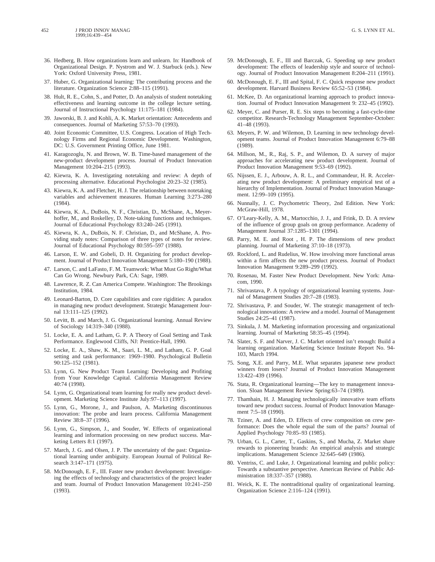- 37. Huber, G. Organizational learning: The contributing process and the literature. Organization Science 2:88–115 (1991).
- 38. Hult, R. E., Cohn, S., and Potter, D. An analysis of student notetaking effectiveness and learning outcome in the college lecture setting. Journal of Instructional Psychology 11:175–181 (1984).
- 39. Jaworski, B. J. and Kohli, A. K. Market orientation: Antecedents and consequences. Journal of Marketing 57:53–70 (1993).
- 40. Joint Economic Committee, U.S. Congress. Location of High Technology Firms and Regional Economic Development. Washington, DC: U.S. Government Printing Office, June 1981.
- 41. Karagozoglu, N. and Brown, W. B. Time-based management of the new-product development process. Journal of Product Innovation Management 10:204-215 (1993).
- 42. Kiewra, K. A. Investigating notetaking and review: A depth of processing alternative. Educational Psychologist 20:23–32 (1985).
- 43. Kiewra, K. A. and Fletcher, H. J. The relationship between notetaking variables and achievement measures. Human Learning 3:273–280 (1984).
- 44. Kiewra, K. A., DuBois, N. F., Christian, D., McShane, A., Meyerhoffer, M., and Roskelley, D. Note-taking functions and techniques. Journal of Educational Psychology 83:240–245 (1991).
- 45. Kiewra, K. A., DuBois, N. F. Christian, D., and McShane, A. Providing study notes: Comparison of three types of notes for review. Journal of Educational Psychology 80:595–597 (1988).
- 46. Larson, E. W. and Gobeli, D. H. Organizing for product development. Journal of Product Innovation Management 5:180–190 (1988).
- 47. Larson, C. and LaFasto, F. M. Teamwork: What Must Go Right/What Can Go Wrong. Newbury Park, CA: Sage, 1989.
- 48. Lawrence, R. Z. Can America Compete. Washington: The Brookings Institution, 1984.
- 49. Leonard-Barton, D. Core capabilities and core rigidities: A paradox in managing new product development. Strategic Management Journal 13:111–125 (1992).
- 50. Levitt, B. and March, J. G. Organizational learning. Annual Review of Sociology 14:319–340 (1988).
- 51. Locke, E. A. and Latham, G. P. A Theory of Goal Setting and Task Performance. Englewood Cliffs, NJ: Prentice-Hall, 1990.
- 52. Locke, E. A., Shaw, K. M., Saari, L. M., and Latham, G. P. Goal setting and task performance: 1969–1980. Psychological Bulletin 90:125–152 (1981).
- 53. Lynn, G. New Product Team Learning: Developing and Profiting from Your Knowledge Capital. California Management Review 40:74 (1998).
- 54. Lynn, G. Organizational team learning for really new product development. Marketing Science Institute July:97–113 (1997).
- 55. Lynn, G., Morone, J., and Paulson, A. Marketing discontinuous innovation: The probe and learn process. California Management Review 38:8–37 (1996).
- 56. Lynn, G., Simpson, J., and Souder, W. Effects of organizational learning and information processing on new product success. Marketing Letters 8:1 (1997).
- 57. March, J. G. and Olsen, J. P. The uncertainty of the past: Organizational learning under ambiguity. European Journal of Political Research 3:147–171 (1975).
- 58. McDonough, E. F., III. Faster new product development: Investigating the effects of technology and characteristics of the project leader and team. Journal of Product Innovation Management 10:241–250 (1993).
- 59. McDonough, E. F., III and Barczak, G. Speeding up new product development: The effects of leadership style and source of technology. Journal of Product Innovation Management 8:204–211 (1991).
- 60. McDonough, E. F., III and Spital, F. C. Quick response new product development. Harvard Business Review 65:52–53 (1984).
- 61. McKee, D. An organizational learning approach to product innovation. Journal of Product Innovation Management 9: 232–45 (1992).
- 62. Meyer, C. and Purser, R. E. Six steps to becoming a fast-cycle-time competitor. Research-Technology Management September-October: 41–48 (1993).
- 63. Meyers, P. W. and Wilemon, D. Learning in new technology development teams. Journal of Product Innovation Management 6:79–88 (1989).
- 64. Millson, M., R., Raj, S. P., and Wilemon, D. A survey of major approaches for accelerating new product development. Journal of Product Innovation Management 9:53–69 (1992).
- 65. Nijssen, E. J., Arbouw, A. R. L., and Commandeur, H. R. Accelerating new product development: A preliminary empirical test of a hierarchy of Implementation. Journal of Product Innovation Management. 12:99-109 (1995).
- 66. Nunnally, J. C. Psychometric Theory, 2nd Edition. New York: McGraw-Hill, 1978.
- 67. O'Leary-Kelly, A. M., Martocchio, J. J., and Frink, D. D. A review of the influence of group goals on group performance. Academy of Management Journal 37:1285–1301 (1994).
- 68. Parry, M. E. and Root , H. P. The dimensions of new product planning. Journal of Marketing 37:10–18 (1973).
- 69. Rockford, L. and Rudelius, W. How involving more functional areas within a firm affects the new product process. Journal of Product Innovation Management 9:289–299 (1992).
- 70. Rosenau, M. Faster New Product Development. New York: Amacom, 1990.
- 71. Shrivastava, P. A typology of organizational learning systems. Journal of Management Studies 20:7–28 (1983).
- 72. Shrivastava, P. and Souder, W. The strategic management of technological innovations: A review and a model. Journal of Management Studies 24:25–41 (1987).
- 73. Sinkula, J. M. Marketing information processing and organizational learning. Journal of Marketing 58:35–45 (1994).
- 74. Slater, S. F. and Narver, J. C. Market oriented isn't enough: Build a learning organization. Marketing Science Institute Report No. 94- 103, March 1994.
- 75. Song, X.E. and Parry, M.E. What separates japanese new product winners from losers? Journal of Product Innovation Management 13:422–439 (1996).
- 76. Stata, R. Organizational learning—The key to management innovation. Sloan Management Review Spring:63–74 (1989).
- 77. Thamhain, H. J. Managing technologically innovative team efforts toward new product success. Journal of Product Innovation Management 7:5–18 (1990).
- 78. Tziner, A. and Eden, D. Effects of crew composition on crew performance: Does the whole equal the sum of the parts? Journal of Applied Psychology 70:85–93 (1985).
- 79. Urban, G. L., Carter, T., Gaskins, S., and Mucha, Z. Market share rewards to pioneering brands: An empirical analysis and strategic implications. Management Science 32:645–649 (1986).
- 80. Ventriss, C. and Luke, J. Organizational learning and public policy: Towards a substantive perspective. American Review of Public Administration 18:337–357 (1988).
- 81. Weick, K. E. The nontraditional quality of organizational learning. Organization Science 2:116–124 (1991).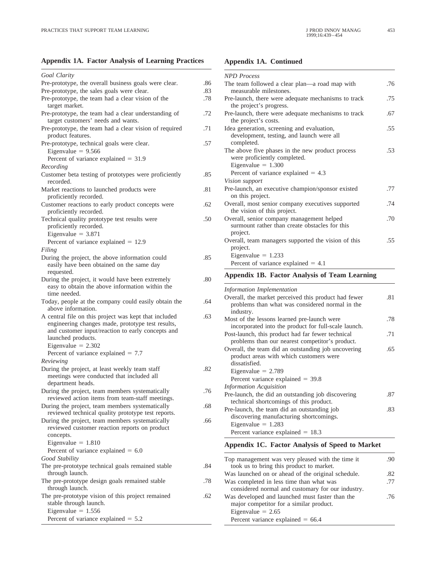| Goal Clarity                                                                                               |     |
|------------------------------------------------------------------------------------------------------------|-----|
| Pre-prototype, the overall business goals were clear.                                                      | .86 |
| Pre-prototype, the sales goals were clear.                                                                 | .83 |
| Pre-prototype, the team had a clear vision of the                                                          | .78 |
| target market.                                                                                             |     |
| Pre-prototype, the team had a clear understanding of<br>target customers' needs and wants.                 | .72 |
| Pre-prototype, the team had a clear vision of required<br>product features.                                | .71 |
| Pre-prototype, technical goals were clear.                                                                 | .57 |
| Eigenvalue = $9.566$<br>Percent of variance explained $= 31.9$                                             |     |
| Recording                                                                                                  |     |
| Customer beta testing of prototypes were proficiently<br>recorded.                                         | .85 |
| Market reactions to launched products were<br>proficiently recorded.                                       | .81 |
| Customer reactions to early product concepts were<br>proficiently recorded.                                | .62 |
| Technical quality prototype test results were                                                              | .50 |
| proficiently recorded.                                                                                     |     |
| Eigenvalue $= 3.871$                                                                                       |     |
| Percent of variance explained $= 12.9$                                                                     |     |
| Filing                                                                                                     |     |
| During the project, the above information could<br>easily have been obtained on the same day<br>requested. | .85 |
| During the project, it would have been extremely                                                           | .80 |
| easy to obtain the above information within the<br>time needed.                                            |     |
| Today, people at the company could easily obtain the<br>above information.                                 | .64 |
| A central file on this project was kept that included                                                      | .63 |
| engineering changes made, prototype test results,                                                          |     |
| and customer input/reaction to early concepts and                                                          |     |
| launched products.                                                                                         |     |
| Eigenvalue $= 2.302$                                                                                       |     |
| Percent of variance explained $= 7.7$                                                                      |     |
| Reviewing                                                                                                  |     |
| During the project, at least weekly team staff                                                             | .82 |
| meetings were conducted that included all                                                                  |     |
| department heads.                                                                                          |     |
| During the project, team members systematically<br>reviewed action items from team-staff meetings.         | .76 |
| During the project, team members systematically                                                            | .68 |
| reviewed technical quality prototype test reports.                                                         |     |
| During the project, team members systematically<br>reviewed customer reaction reports on product           | .66 |
| concepts.<br>Eigenvalue $= 1.810$                                                                          |     |
| Percent of variance explained $= 6.0$                                                                      |     |
| Good Stability                                                                                             |     |
| The pre-prototype technical goals remained stable                                                          | .84 |
| through launch.                                                                                            |     |
| The pre-prototype design goals remained stable                                                             | .78 |
| through launch.                                                                                            |     |
| The pre-prototype vision of this project remained<br>stable through launch.                                | .62 |
| Eigenvalue $= 1.556$                                                                                       |     |
| Percent of variance explained $= 5.2$                                                                      |     |
|                                                                                                            |     |

## **Appendix 1A. Continued**

.78

.72

.85

.62

.50

.85

.80

.64

.63

.82

.76

.68

.66

.84

.78

.62

| <b>NPD</b> Process                                                                                                                      |     |
|-----------------------------------------------------------------------------------------------------------------------------------------|-----|
| The team followed a clear plan-a road map with<br>measurable milestones.                                                                | .76 |
| Pre-launch, there were adequate mechanisms to track<br>the project's progress.                                                          | .75 |
| Pre-launch, there were adequate mechanisms to track<br>the project's costs.                                                             | .67 |
| Idea generation, screening and evaluation,<br>development, testing, and launch were all<br>completed.                                   | .55 |
| The above five phases in the new product process<br>were proficiently completed.<br>Eigenvalue $= 1.300$                                | .53 |
| Percent of variance explained $= 4.3$                                                                                                   |     |
| Vision support                                                                                                                          |     |
| Pre-launch, an executive champion/sponsor existed<br>on this project.                                                                   | .77 |
| Overall, most senior company executives supported<br>the vision of this project.                                                        | .74 |
| Overall, senior company management helped<br>surmount rather than create obstacles for this<br>project.                                 | .70 |
| Overall, team managers supported the vision of this<br>project.<br>Eigenvalue $= 1.233$                                                 | .55 |
| Percent of variance explained $= 4.1$                                                                                                   |     |
| <b>Appendix 1B. Factor Analysis of Team Learning</b>                                                                                    |     |
| Information Implementation                                                                                                              |     |
| Overall, the market perceived this product had fewer<br>problems than what was considered normal in the<br>industry.                    | .81 |
| Most of the lessons learned pre-launch were<br>incorporated into the product for full-scale launch.                                     | .78 |
| Post-launch, this product had far fewer technical<br>problems than our nearest competitor's product.                                    | .71 |
| Overall, the team did an outstanding job uncovering<br>product areas with which customers were<br>dissatisfied.<br>Eigenvalue $= 2.789$ | .65 |
| Percent variance explained $=$ 39.8                                                                                                     |     |
| <b>Information Acquisition</b><br>Pre-launch, the did an outstanding job discovering<br>technical shortcomings of this product.         | .87 |
| Pre-launch, the team did an outstanding job                                                                                             | .83 |
| discovering manufacturing shortcomings.<br>Eigenvalue $= 1.283$                                                                         |     |
|                                                                                                                                         |     |
| Percent variance explained $= 18.3$                                                                                                     |     |

## **Appendix 1C. Factor Analysis of Speed to Market**

| Top management was very pleased with the time it<br>took us to bring this product to market.                                                             | -90  |
|----------------------------------------------------------------------------------------------------------------------------------------------------------|------|
| Was launched on or ahead of the original schedule.                                                                                                       | .82. |
| Was completed in less time than what was<br>considered normal and customary for our industry.                                                            | 77   |
| Was developed and launched must faster than the<br>major competitor for a similar product.<br>Eigenvalue $= 2.65$<br>Percent variance explained $= 66.4$ | .76  |